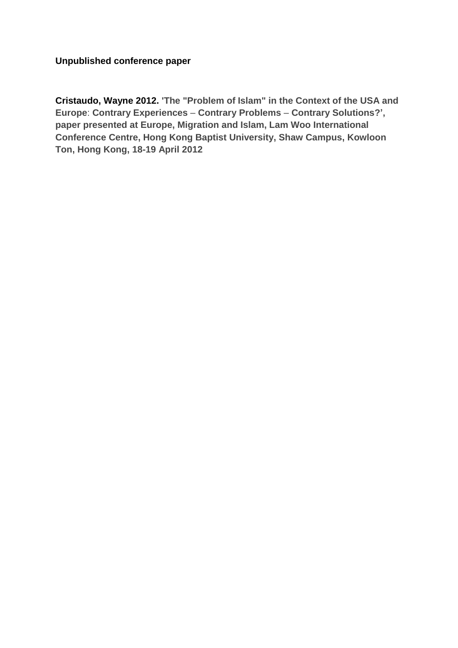**Unpublished conference paper**

**Cristaudo, Wayne 2012. 'The "Problem of Islam" in the Context of the USA and Europe**: **Contrary Experiences** – **Contrary Problems** – **Contrary Solutions?', paper presented at Europe, Migration and Islam, Lam Woo International Conference Centre, Hong Kong Baptist University, Shaw Campus, Kowloon Ton, Hong Kong, 18-19 April 2012**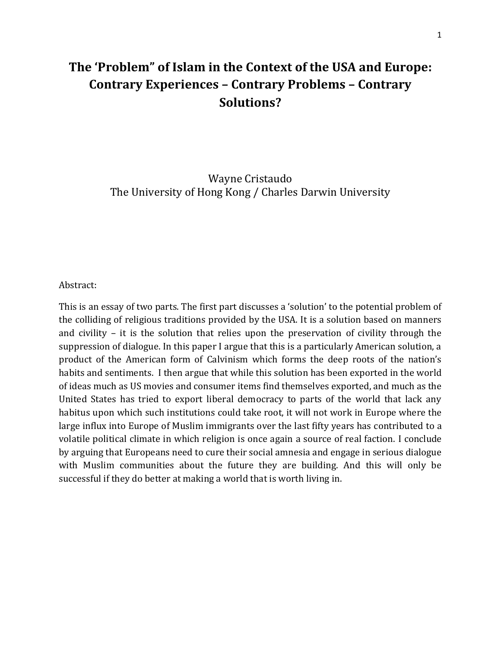## **The 'Problem" of Islam in the Context of the USA and Europe: Contrary Experiences – Contrary Problems – Contrary Solutions?**

Wayne Cristaudo The University of Hong Kong / Charles Darwin University

## Abstract:

This is an essay of two parts. The first part discusses a 'solution' to the potential problem of the colliding of religious traditions provided by the USA. It is a solution based on manners and civility – it is the solution that relies upon the preservation of civility through the suppression of dialogue. In this paper I argue that this is a particularly American solution, a product of the American form of Calvinism which forms the deep roots of the nation's habits and sentiments. I then argue that while this solution has been exported in the world of ideas much as US movies and consumer items find themselves exported, and much as the United States has tried to export liberal democracy to parts of the world that lack any habitus upon which such institutions could take root, it will not work in Europe where the large influx into Europe of Muslim immigrants over the last fifty years has contributed to a volatile political climate in which religion is once again a source of real faction. I conclude by arguing that Europeans need to cure their social amnesia and engage in serious dialogue with Muslim communities about the future they are building. And this will only be successful if they do better at making a world that is worth living in.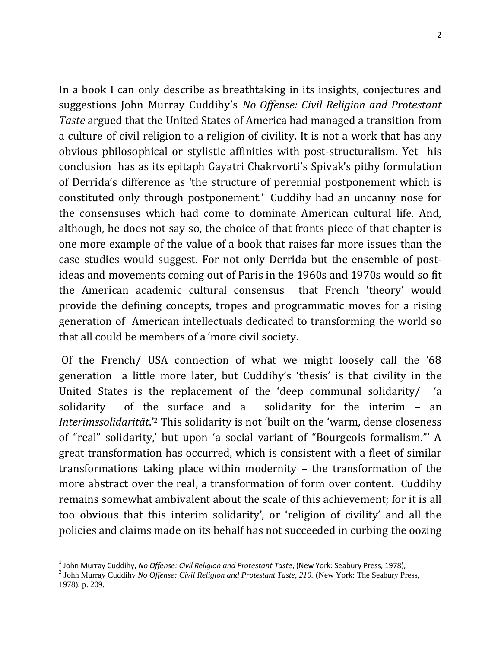In a book I can only describe as breathtaking in its insights, conjectures and suggestions John Murray Cuddihy's *No Offense: Civil Religion and Protestant Taste* argued that the United States of America had managed a transition from a culture of civil religion to a religion of civility. It is not a work that has any obvious philosophical or stylistic affinities with post-structuralism. Yet his conclusion has as its epitaph Gayatri Chakrvorti's Spivak's pithy formulation of Derrida's difference as 'the structure of perennial postponement which is constituted only through postponement.' <sup>1</sup> Cuddihy had an uncanny nose for the consensuses which had come to dominate American cultural life. And, although, he does not say so, the choice of that fronts piece of that chapter is one more example of the value of a book that raises far more issues than the case studies would suggest. For not only Derrida but the ensemble of postideas and movements coming out of Paris in the 1960s and 1970s would so fit the American academic cultural consensus that French 'theory' would provide the defining concepts, tropes and programmatic moves for a rising generation of American intellectuals dedicated to transforming the world so that all could be members of a 'more civil society.

Of the French/ USA connection of what we might loosely call the '68 generation a little more later, but Cuddihy's 'thesis' is that civility in the United States is the replacement of the 'deep communal solidarity/ 'a solidarity of the surface and a solidarity for the interim – an *Interimssolidarität*.'<sup>2</sup> This solidarity is not 'built on the 'warm, dense closeness of "real" solidarity,' but upon 'a social variant of "Bourgeois formalism."' A great transformation has occurred, which is consistent with a fleet of similar transformations taking place within modernity – the transformation of the more abstract over the real, a transformation of form over content. Cuddihy remains somewhat ambivalent about the scale of this achievement; for it is all too obvious that this interim solidarity', or 'religion of civility' and all the policies and claims made on its behalf has not succeeded in curbing the oozing

 $\overline{\phantom{a}}$ 

<sup>&</sup>lt;sup>1</sup> John Murray Cuddihy, *No Offense: Civil Religion and Protestant Taste*, (New York: Seabury Press, 1978),<br><sup>2</sup> John Murray Cuddihy *No Offense: Civil Religion and Protestant Taste*, 210. (New York: The Seabury Press, 1978), p. 209.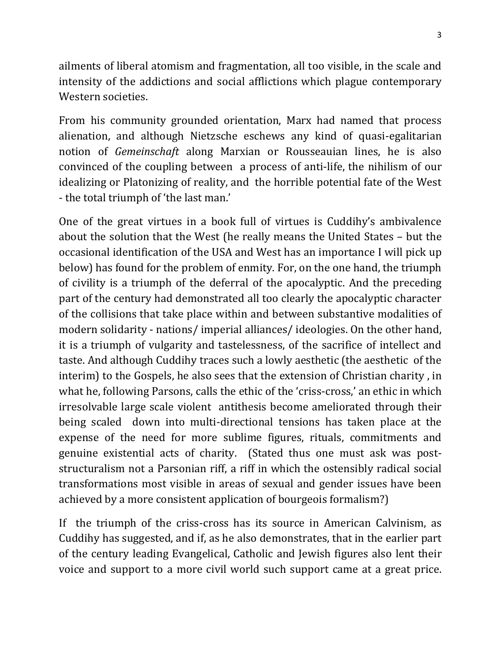ailments of liberal atomism and fragmentation, all too visible, in the scale and intensity of the addictions and social afflictions which plague contemporary Western societies.

From his community grounded orientation, Marx had named that process alienation, and although Nietzsche eschews any kind of quasi-egalitarian notion of *Gemeinschaft* along Marxian or Rousseauian lines, he is also convinced of the coupling between a process of anti-life, the nihilism of our idealizing or Platonizing of reality, and the horrible potential fate of the West - the total triumph of 'the last man.'

One of the great virtues in a book full of virtues is Cuddihy's ambivalence about the solution that the West (he really means the United States – but the occasional identification of the USA and West has an importance I will pick up below) has found for the problem of enmity. For, on the one hand, the triumph of civility is a triumph of the deferral of the apocalyptic. And the preceding part of the century had demonstrated all too clearly the apocalyptic character of the collisions that take place within and between substantive modalities of modern solidarity - nations/ imperial alliances/ ideologies. On the other hand, it is a triumph of vulgarity and tastelessness, of the sacrifice of intellect and taste. And although Cuddihy traces such a lowly aesthetic (the aesthetic of the interim) to the Gospels, he also sees that the extension of Christian charity , in what he, following Parsons, calls the ethic of the 'criss-cross,' an ethic in which irresolvable large scale violent antithesis become ameliorated through their being scaled down into multi-directional tensions has taken place at the expense of the need for more sublime figures, rituals, commitments and genuine existential acts of charity. (Stated thus one must ask was poststructuralism not a Parsonian riff, a riff in which the ostensibly radical social transformations most visible in areas of sexual and gender issues have been achieved by a more consistent application of bourgeois formalism?)

If the triumph of the criss-cross has its source in American Calvinism, as Cuddihy has suggested, and if, as he also demonstrates, that in the earlier part of the century leading Evangelical, Catholic and Jewish figures also lent their voice and support to a more civil world such support came at a great price.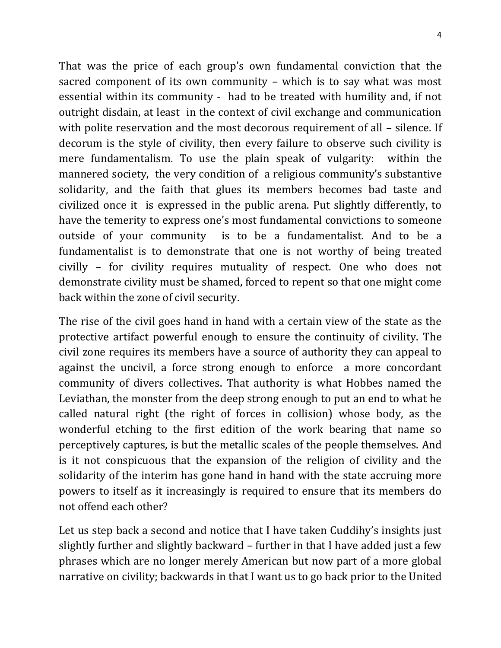That was the price of each group's own fundamental conviction that the sacred component of its own community – which is to say what was most essential within its community - had to be treated with humility and, if not outright disdain, at least in the context of civil exchange and communication with polite reservation and the most decorous requirement of all – silence. If decorum is the style of civility, then every failure to observe such civility is mere fundamentalism. To use the plain speak of vulgarity: within the mannered society, the very condition of a religious community's substantive solidarity, and the faith that glues its members becomes bad taste and civilized once it is expressed in the public arena. Put slightly differently, to have the temerity to express one's most fundamental convictions to someone outside of your community is to be a fundamentalist. And to be a fundamentalist is to demonstrate that one is not worthy of being treated civilly – for civility requires mutuality of respect. One who does not demonstrate civility must be shamed, forced to repent so that one might come back within the zone of civil security.

The rise of the civil goes hand in hand with a certain view of the state as the protective artifact powerful enough to ensure the continuity of civility. The civil zone requires its members have a source of authority they can appeal to against the uncivil, a force strong enough to enforce a more concordant community of divers collectives. That authority is what Hobbes named the Leviathan, the monster from the deep strong enough to put an end to what he called natural right (the right of forces in collision) whose body, as the wonderful etching to the first edition of the work bearing that name so perceptively captures, is but the metallic scales of the people themselves. And is it not conspicuous that the expansion of the religion of civility and the solidarity of the interim has gone hand in hand with the state accruing more powers to itself as it increasingly is required to ensure that its members do not offend each other?

Let us step back a second and notice that I have taken Cuddihy's insights just slightly further and slightly backward – further in that I have added just a few phrases which are no longer merely American but now part of a more global narrative on civility; backwards in that I want us to go back prior to the United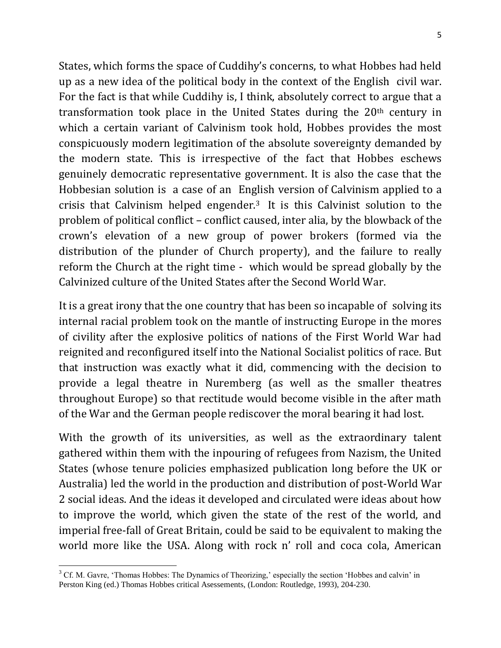States, which forms the space of Cuddihy's concerns, to what Hobbes had held up as a new idea of the political body in the context of the English civil war. For the fact is that while Cuddihy is, I think, absolutely correct to argue that a transformation took place in the United States during the 20th century in which a certain variant of Calvinism took hold, Hobbes provides the most conspicuously modern legitimation of the absolute sovereignty demanded by the modern state. This is irrespective of the fact that Hobbes eschews genuinely democratic representative government. It is also the case that the Hobbesian solution is a case of an English version of Calvinism applied to a crisis that Calvinism helped engender.<sup>3</sup> It is this Calvinist solution to the problem of political conflict – conflict caused, inter alia, by the blowback of the crown's elevation of a new group of power brokers (formed via the distribution of the plunder of Church property), and the failure to really reform the Church at the right time - which would be spread globally by the Calvinized culture of the United States after the Second World War.

It is a great irony that the one country that has been so incapable of solving its internal racial problem took on the mantle of instructing Europe in the mores of civility after the explosive politics of nations of the First World War had reignited and reconfigured itself into the National Socialist politics of race. But that instruction was exactly what it did, commencing with the decision to provide a legal theatre in Nuremberg (as well as the smaller theatres throughout Europe) so that rectitude would become visible in the after math of the War and the German people rediscover the moral bearing it had lost.

With the growth of its universities, as well as the extraordinary talent gathered within them with the inpouring of refugees from Nazism, the United States (whose tenure policies emphasized publication long before the UK or Australia) led the world in the production and distribution of post-World War 2 social ideas. And the ideas it developed and circulated were ideas about how to improve the world, which given the state of the rest of the world, and imperial free-fall of Great Britain, could be said to be equivalent to making the world more like the USA. Along with rock n' roll and coca cola, American

 $\overline{\phantom{a}}$  $3$  Cf. M. Gavre, 'Thomas Hobbes: The Dynamics of Theorizing,' especially the section 'Hobbes and calvin' in Perston King (ed.) Thomas Hobbes critical Asessements, (London: Routledge, 1993), 204-230.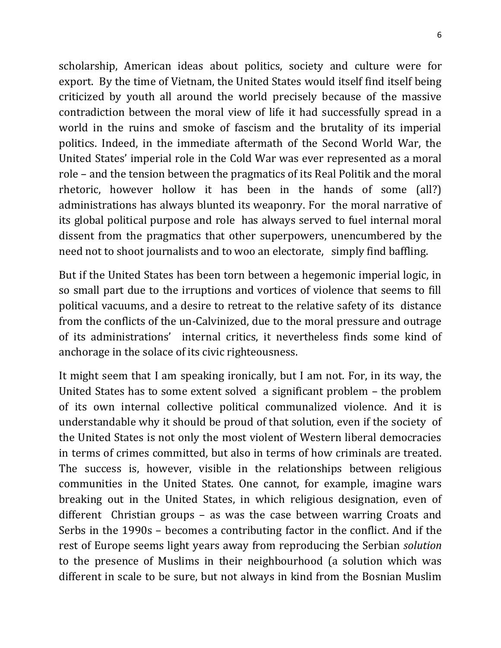scholarship, American ideas about politics, society and culture were for export. By the time of Vietnam, the United States would itself find itself being criticized by youth all around the world precisely because of the massive contradiction between the moral view of life it had successfully spread in a world in the ruins and smoke of fascism and the brutality of its imperial politics. Indeed, in the immediate aftermath of the Second World War, the United States' imperial role in the Cold War was ever represented as a moral role – and the tension between the pragmatics of its Real Politik and the moral rhetoric, however hollow it has been in the hands of some (all?) administrations has always blunted its weaponry. For the moral narrative of its global political purpose and role has always served to fuel internal moral dissent from the pragmatics that other superpowers, unencumbered by the need not to shoot journalists and to woo an electorate, simply find baffling.

But if the United States has been torn between a hegemonic imperial logic, in so small part due to the irruptions and vortices of violence that seems to fill political vacuums, and a desire to retreat to the relative safety of its distance from the conflicts of the un-Calvinized, due to the moral pressure and outrage of its administrations' internal critics, it nevertheless finds some kind of anchorage in the solace of its civic righteousness.

It might seem that I am speaking ironically, but I am not. For, in its way, the United States has to some extent solved a significant problem – the problem of its own internal collective political communalized violence. And it is understandable why it should be proud of that solution, even if the society of the United States is not only the most violent of Western liberal democracies in terms of crimes committed, but also in terms of how criminals are treated. The success is, however, visible in the relationships between religious communities in the United States. One cannot, for example, imagine wars breaking out in the United States, in which religious designation, even of different Christian groups – as was the case between warring Croats and Serbs in the 1990s – becomes a contributing factor in the conflict. And if the rest of Europe seems light years away from reproducing the Serbian *solution* to the presence of Muslims in their neighbourhood (a solution which was different in scale to be sure, but not always in kind from the Bosnian Muslim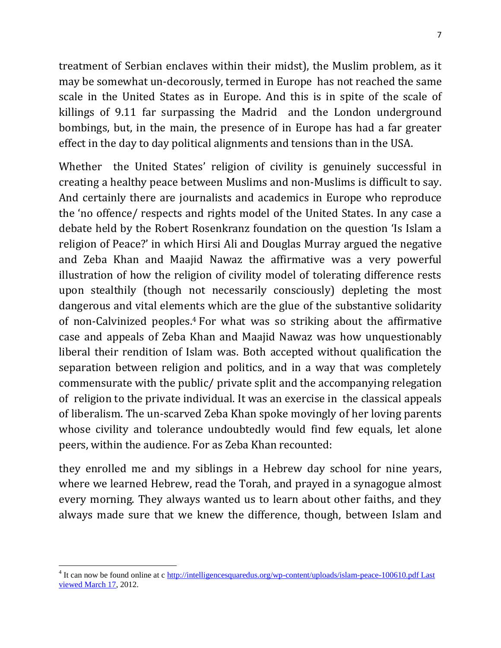treatment of Serbian enclaves within their midst), the Muslim problem, as it may be somewhat un-decorously, termed in Europe has not reached the same scale in the United States as in Europe. And this is in spite of the scale of killings of 9.11 far surpassing the Madrid and the London underground bombings, but, in the main, the presence of in Europe has had a far greater effect in the day to day political alignments and tensions than in the USA.

Whether the United States' religion of civility is genuinely successful in creating a healthy peace between Muslims and non-Muslims is difficult to say. And certainly there are journalists and academics in Europe who reproduce the 'no offence/ respects and rights model of the United States. In any case a debate held by the Robert Rosenkranz foundation on the question 'Is Islam a religion of Peace?' in which Hirsi Ali and Douglas Murray argued the negative and Zeba Khan and Maajid Nawaz the affirmative was a very powerful illustration of how the religion of civility model of tolerating difference rests upon stealthily (though not necessarily consciously) depleting the most dangerous and vital elements which are the glue of the substantive solidarity of non-Calvinized peoples. <sup>4</sup> For what was so striking about the affirmative case and appeals of Zeba Khan and Maajid Nawaz was how unquestionably liberal their rendition of Islam was. Both accepted without qualification the separation between religion and politics, and in a way that was completely commensurate with the public/ private split and the accompanying relegation of religion to the private individual. It was an exercise in the classical appeals of liberalism. The un-scarved Zeba Khan spoke movingly of her loving parents whose civility and tolerance undoubtedly would find few equals, let alone peers, within the audience. For as Zeba Khan recounted:

they enrolled me and my siblings in a Hebrew day school for nine years, where we learned Hebrew, read the Torah, and prayed in a synagogue almost every morning. They always wanted us to learn about other faiths, and they always made sure that we knew the difference, though, between Islam and

 $\overline{\phantom{a}}$ 

<sup>&</sup>lt;sup>4</sup> It can now be found online at c http://intelligencesquaredus.org/wp-content/uploads/islam-peace-100610.pdf Last [viewed March 17,](http://intelligencesquaredus.org/wp-content/uploads/islam-peace-100610.pdf%20Last%20viewed%20March%2017) 2012.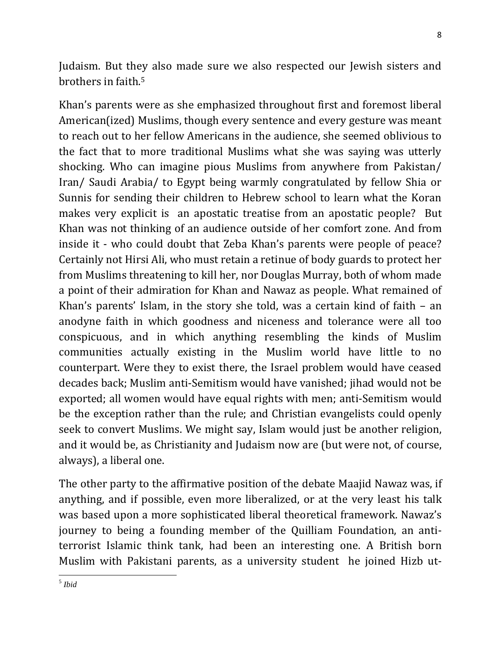Judaism. But they also made sure we also respected our Jewish sisters and brothers in faith.<sup>5</sup>

Khan's parents were as she emphasized throughout first and foremost liberal American(ized) Muslims, though every sentence and every gesture was meant to reach out to her fellow Americans in the audience, she seemed oblivious to the fact that to more traditional Muslims what she was saying was utterly shocking. Who can imagine pious Muslims from anywhere from Pakistan/ Iran/ Saudi Arabia/ to Egypt being warmly congratulated by fellow Shia or Sunnis for sending their children to Hebrew school to learn what the Koran makes very explicit is an apostatic treatise from an apostatic people? But Khan was not thinking of an audience outside of her comfort zone. And from inside it - who could doubt that Zeba Khan's parents were people of peace? Certainly not Hirsi Ali, who must retain a retinue of body guards to protect her from Muslims threatening to kill her, nor Douglas Murray, both of whom made a point of their admiration for Khan and Nawaz as people. What remained of Khan's parents' Islam, in the story she told, was a certain kind of faith – an anodyne faith in which goodness and niceness and tolerance were all too conspicuous, and in which anything resembling the kinds of Muslim communities actually existing in the Muslim world have little to no counterpart. Were they to exist there, the Israel problem would have ceased decades back; Muslim anti-Semitism would have vanished; jihad would not be exported; all women would have equal rights with men; anti-Semitism would be the exception rather than the rule; and Christian evangelists could openly seek to convert Muslims. We might say, Islam would just be another religion, and it would be, as Christianity and Judaism now are (but were not, of course, always), a liberal one.

The other party to the affirmative position of the debate Maajid Nawaz was, if anything, and if possible, even more liberalized, or at the very least his talk was based upon a more sophisticated liberal theoretical framework. Nawaz's journey to being a founding member of the Quilliam Foundation, an antiterrorist Islamic think tank, had been an interesting one. A British born Muslim with Pakistani parents, as a university student he joined Hizb ut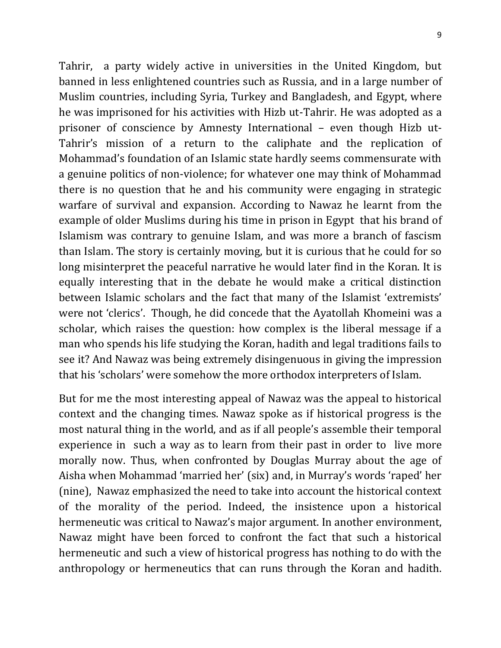Tahrir, a party widely active in universities in the United Kingdom, but banned in less enlightened countries such as Russia, and in a large number of Muslim countries, including Syria, Turkey and Bangladesh, and Egypt, where he was imprisoned for his activities with Hizb ut-Tahrir. He was adopted as a prisoner of conscience by Amnesty International – even though Hizb ut-Tahrir's mission of a return to the caliphate and the replication of Mohammad's foundation of an Islamic state hardly seems commensurate with a genuine politics of non-violence; for whatever one may think of Mohammad there is no question that he and his community were engaging in strategic warfare of survival and expansion. According to Nawaz he learnt from the example of older Muslims during his time in prison in Egypt that his brand of Islamism was contrary to genuine Islam, and was more a branch of fascism than Islam. The story is certainly moving, but it is curious that he could for so long misinterpret the peaceful narrative he would later find in the Koran. It is equally interesting that in the debate he would make a critical distinction between Islamic scholars and the fact that many of the Islamist 'extremists' were not 'clerics'. Though, he did concede that the Ayatollah Khomeini was a scholar, which raises the question: how complex is the liberal message if a man who spends his life studying the Koran, hadith and legal traditions fails to see it? And Nawaz was being extremely disingenuous in giving the impression that his 'scholars' were somehow the more orthodox interpreters of Islam.

But for me the most interesting appeal of Nawaz was the appeal to historical context and the changing times. Nawaz spoke as if historical progress is the most natural thing in the world, and as if all people's assemble their temporal experience in such a way as to learn from their past in order to live more morally now. Thus, when confronted by Douglas Murray about the age of Aisha when Mohammad 'married her' (six) and, in Murray's words 'raped' her (nine), Nawaz emphasized the need to take into account the historical context of the morality of the period. Indeed, the insistence upon a historical hermeneutic was critical to Nawaz's major argument. In another environment, Nawaz might have been forced to confront the fact that such a historical hermeneutic and such a view of historical progress has nothing to do with the anthropology or hermeneutics that can runs through the Koran and hadith.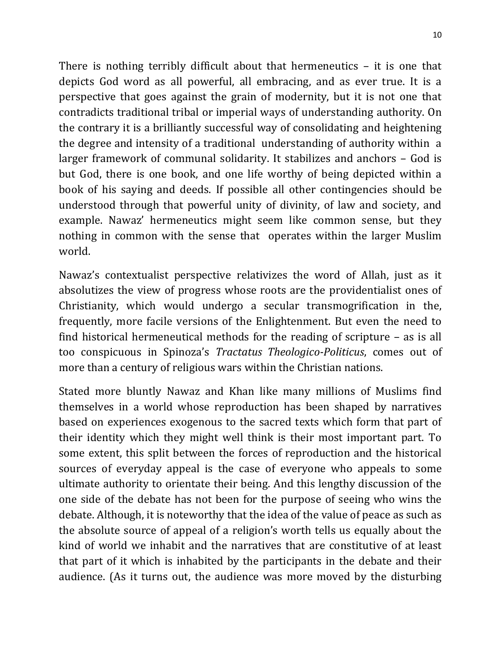There is nothing terribly difficult about that hermeneutics – it is one that depicts God word as all powerful, all embracing, and as ever true. It is a perspective that goes against the grain of modernity, but it is not one that contradicts traditional tribal or imperial ways of understanding authority. On the contrary it is a brilliantly successful way of consolidating and heightening the degree and intensity of a traditional understanding of authority within a larger framework of communal solidarity. It stabilizes and anchors – God is but God, there is one book, and one life worthy of being depicted within a book of his saying and deeds. If possible all other contingencies should be understood through that powerful unity of divinity, of law and society, and example. Nawaz' hermeneutics might seem like common sense, but they nothing in common with the sense that operates within the larger Muslim world.

Nawaz's contextualist perspective relativizes the word of Allah, just as it absolutizes the view of progress whose roots are the providentialist ones of Christianity, which would undergo a secular transmogrification in the, frequently, more facile versions of the Enlightenment. But even the need to find historical hermeneutical methods for the reading of scripture – as is all too conspicuous in Spinoza's *Tractatus Theologico-Politicus*, comes out of more than a century of religious wars within the Christian nations.

Stated more bluntly Nawaz and Khan like many millions of Muslims find themselves in a world whose reproduction has been shaped by narratives based on experiences exogenous to the sacred texts which form that part of their identity which they might well think is their most important part. To some extent, this split between the forces of reproduction and the historical sources of everyday appeal is the case of everyone who appeals to some ultimate authority to orientate their being. And this lengthy discussion of the one side of the debate has not been for the purpose of seeing who wins the debate. Although, it is noteworthy that the idea of the value of peace as such as the absolute source of appeal of a religion's worth tells us equally about the kind of world we inhabit and the narratives that are constitutive of at least that part of it which is inhabited by the participants in the debate and their audience. (As it turns out, the audience was more moved by the disturbing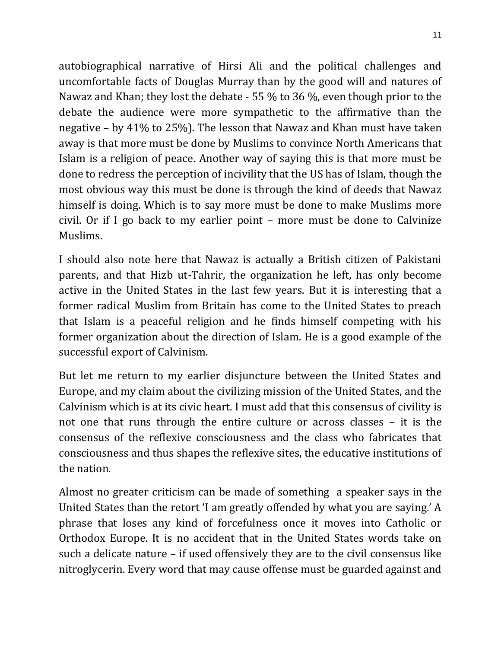autobiographical narrative of Hirsi Ali and the political challenges and uncomfortable facts of Douglas Murray than by the good will and natures of Nawaz and Khan; they lost the debate - 55 % to 36 %, even though prior to the debate the audience were more sympathetic to the affirmative than the negative – by 41% to 25%). The lesson that Nawaz and Khan must have taken away is that more must be done by Muslims to convince North Americans that Islam is a religion of peace. Another way of saying this is that more must be done to redress the perception of incivility that the US has of Islam, though the most obvious way this must be done is through the kind of deeds that Nawaz himself is doing. Which is to say more must be done to make Muslims more civil. Or if I go back to my earlier point – more must be done to Calvinize Muslims.

I should also note here that Nawaz is actually a British citizen of Pakistani parents, and that Hizb ut-Tahrir, the organization he left, has only become active in the United States in the last few years. But it is interesting that a former radical Muslim from Britain has come to the United States to preach that Islam is a peaceful religion and he finds himself competing with his former organization about the direction of Islam. He is a good example of the successful export of Calvinism.

But let me return to my earlier disjuncture between the United States and Europe, and my claim about the civilizing mission of the United States, and the Calvinism which is at its civic heart. I must add that this consensus of civility is not one that runs through the entire culture or across classes – it is the consensus of the reflexive consciousness and the class who fabricates that consciousness and thus shapes the reflexive sites, the educative institutions of the nation.

Almost no greater criticism can be made of something a speaker says in the United States than the retort 'I am greatly offended by what you are saying.' A phrase that loses any kind of forcefulness once it moves into Catholic or Orthodox Europe. It is no accident that in the United States words take on such a delicate nature – if used offensively they are to the civil consensus like nitroglycerin. Every word that may cause offense must be guarded against and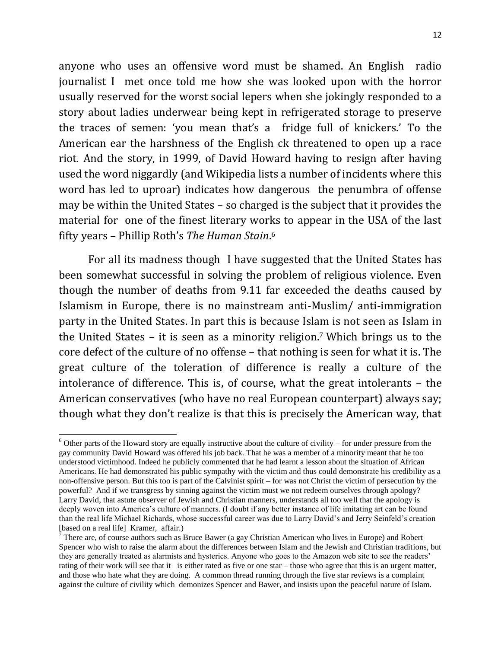anyone who uses an offensive word must be shamed. An English radio journalist I met once told me how she was looked upon with the horror usually reserved for the worst social lepers when she jokingly responded to a story about ladies underwear being kept in refrigerated storage to preserve the traces of semen: 'you mean that's a fridge full of knickers.' To the American ear the harshness of the English ck threatened to open up a race riot. And the story, in 1999, of David Howard having to resign after having used the word niggardly (and Wikipedia lists a number of incidents where this word has led to uproar) indicates how dangerous the penumbra of offense may be within the United States – so charged is the subject that it provides the material for one of the finest literary works to appear in the USA of the last fifty years – Phillip Roth's *The Human Stain*. 6

For all its madness though I have suggested that the United States has been somewhat successful in solving the problem of religious violence. Even though the number of deaths from 9.11 far exceeded the deaths caused by Islamism in Europe, there is no mainstream anti-Muslim/ anti-immigration party in the United States. In part this is because Islam is not seen as Islam in the United States – it is seen as a minority religion.<sup>7</sup> Which brings us to the core defect of the culture of no offense – that nothing is seen for what it is. The great culture of the toleration of difference is really a culture of the intolerance of difference. This is, of course, what the great intolerants – the American conservatives (who have no real European counterpart) always say; though what they don't realize is that this is precisely the American way, that

 $\overline{\phantom{a}}$ 

 $6$  Other parts of the Howard story are equally instructive about the culture of civility – for under pressure from the gay community David Howard was offered his job back. That he was a member of a minority meant that he too understood victimhood. Indeed he publicly commented that he had learnt a lesson about the situation of African Americans. He had demonstrated his public sympathy with the victim and thus could demonstrate his credibility as a non-offensive person. But this too is part of the Calvinist spirit – for was not Christ the victim of persecution by the powerful? And if we transgress by sinning against the victim must we not redeem ourselves through apology? Larry David, that astute observer of Jewish and Christian manners, understands all too well that the apology is deeply woven into America's culture of manners. (I doubt if any better instance of life imitating art can be found than the real life Michael Richards, whose successful career was due to Larry David's and Jerry Seinfeld's creation [based on a real life] Kramer, affair.)

<sup>7</sup> There are, of course authors such as Bruce Bawer (a gay Christian American who lives in Europe) and Robert Spencer who wish to raise the alarm about the differences between Islam and the Jewish and Christian traditions, but they are generally treated as alarmists and hysterics. Anyone who goes to the Amazon web site to see the readers' rating of their work will see that it is either rated as five or one star – those who agree that this is an urgent matter, and those who hate what they are doing. A common thread running through the five star reviews is a complaint against the culture of civility which demonizes Spencer and Bawer, and insists upon the peaceful nature of Islam.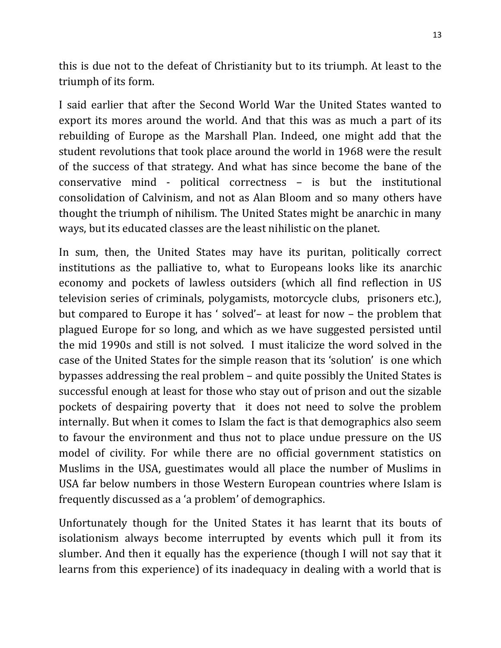this is due not to the defeat of Christianity but to its triumph. At least to the triumph of its form.

I said earlier that after the Second World War the United States wanted to export its mores around the world. And that this was as much a part of its rebuilding of Europe as the Marshall Plan. Indeed, one might add that the student revolutions that took place around the world in 1968 were the result of the success of that strategy. And what has since become the bane of the conservative mind - political correctness – is but the institutional consolidation of Calvinism, and not as Alan Bloom and so many others have thought the triumph of nihilism. The United States might be anarchic in many ways, but its educated classes are the least nihilistic on the planet.

In sum, then, the United States may have its puritan, politically correct institutions as the palliative to, what to Europeans looks like its anarchic economy and pockets of lawless outsiders (which all find reflection in US television series of criminals, polygamists, motorcycle clubs, prisoners etc.), but compared to Europe it has ' solved'– at least for now – the problem that plagued Europe for so long, and which as we have suggested persisted until the mid 1990s and still is not solved. I must italicize the word solved in the case of the United States for the simple reason that its 'solution' is one which bypasses addressing the real problem – and quite possibly the United States is successful enough at least for those who stay out of prison and out the sizable pockets of despairing poverty that it does not need to solve the problem internally. But when it comes to Islam the fact is that demographics also seem to favour the environment and thus not to place undue pressure on the US model of civility. For while there are no official government statistics on Muslims in the USA, guestimates would all place the number of Muslims in USA far below numbers in those Western European countries where Islam is frequently discussed as a 'a problem' of demographics.

Unfortunately though for the United States it has learnt that its bouts of isolationism always become interrupted by events which pull it from its slumber. And then it equally has the experience (though I will not say that it learns from this experience) of its inadequacy in dealing with a world that is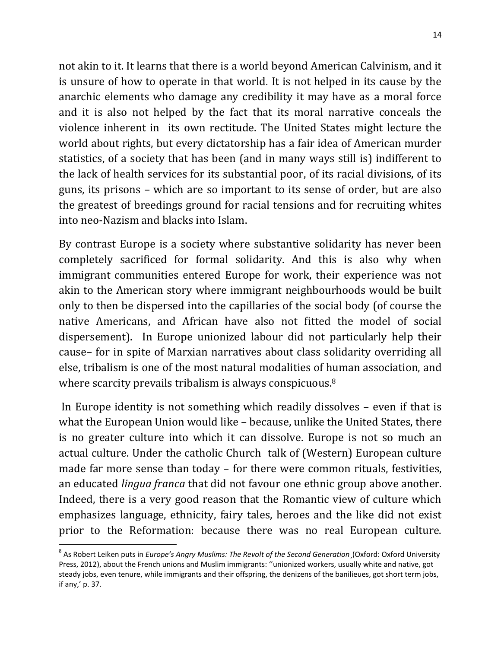not akin to it. It learns that there is a world beyond American Calvinism, and it is unsure of how to operate in that world. It is not helped in its cause by the anarchic elements who damage any credibility it may have as a moral force and it is also not helped by the fact that its moral narrative conceals the violence inherent in its own rectitude. The United States might lecture the world about rights, but every dictatorship has a fair idea of American murder statistics, of a society that has been (and in many ways still is) indifferent to the lack of health services for its substantial poor, of its racial divisions, of its guns, its prisons – which are so important to its sense of order, but are also the greatest of breedings ground for racial tensions and for recruiting whites into neo-Nazism and blacks into Islam.

By contrast Europe is a society where substantive solidarity has never been completely sacrificed for formal solidarity. And this is also why when immigrant communities entered Europe for work, their experience was not akin to the American story where immigrant neighbourhoods would be built only to then be dispersed into the capillaries of the social body (of course the native Americans, and African have also not fitted the model of social dispersement). In Europe unionized labour did not particularly help their cause– for in spite of Marxian narratives about class solidarity overriding all else, tribalism is one of the most natural modalities of human association, and where scarcity prevails tribalism is always conspicuous.<sup>8</sup>

In Europe identity is not something which readily dissolves – even if that is what the European Union would like – because, unlike the United States, there is no greater culture into which it can dissolve. Europe is not so much an actual culture. Under the catholic Church talk of (Western) European culture made far more sense than today – for there were common rituals, festivities, an educated *lingua franca* that did not favour one ethnic group above another. Indeed, there is a very good reason that the Romantic view of culture which emphasizes language, ethnicity, fairy tales, heroes and the like did not exist prior to the Reformation: because there was no real European culture.

 $\overline{a}$ 

<sup>8</sup> As Robert Leiken puts in *Europe's Angry Muslims: The Revolt of the Second Generation*¸(Oxford: Oxford University Press, 2012), about the French unions and Muslim immigrants: ''unionized workers, usually white and native, got steady jobs, even tenure, while immigrants and their offspring, the denizens of the banilieues, got short term jobs, if any,' p. 37.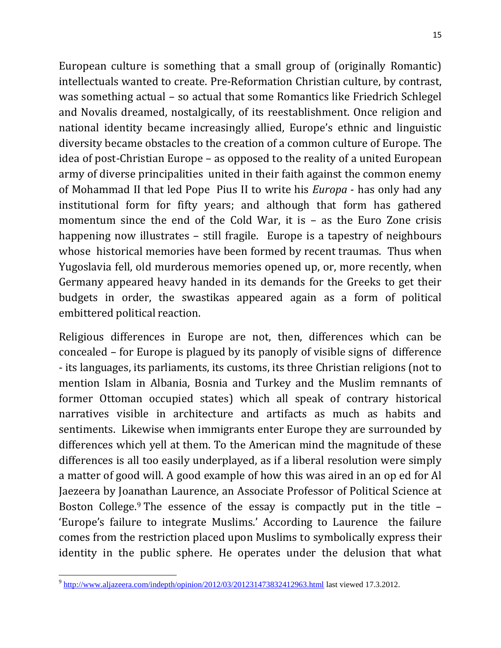European culture is something that a small group of (originally Romantic) intellectuals wanted to create. Pre-Reformation Christian culture, by contrast, was something actual – so actual that some Romantics like Friedrich Schlegel and Novalis dreamed, nostalgically, of its reestablishment. Once religion and national identity became increasingly allied, Europe's ethnic and linguistic diversity became obstacles to the creation of a common culture of Europe. The idea of post-Christian Europe – as opposed to the reality of a united European army of diverse principalities united in their faith against the common enemy of Mohammad II that led Pope Pius II to write his *Europa* - has only had any institutional form for fifty years; and although that form has gathered momentum since the end of the Cold War, it is – as the Euro Zone crisis happening now illustrates – still fragile. Europe is a tapestry of neighbours whose historical memories have been formed by recent traumas. Thus when Yugoslavia fell, old murderous memories opened up, or, more recently, when Germany appeared heavy handed in its demands for the Greeks to get their budgets in order, the swastikas appeared again as a form of political embittered political reaction.

Religious differences in Europe are not, then, differences which can be concealed – for Europe is plagued by its panoply of visible signs of difference - its languages, its parliaments, its customs, its three Christian religions (not to mention Islam in Albania, Bosnia and Turkey and the Muslim remnants of former Ottoman occupied states) which all speak of contrary historical narratives visible in architecture and artifacts as much as habits and sentiments. Likewise when immigrants enter Europe they are surrounded by differences which yell at them. To the American mind the magnitude of these differences is all too easily underplayed, as if a liberal resolution were simply a matter of good will. A good example of how this was aired in an op ed for Al Jaezeera by Joanathan Laurence, an Associate Professor of Political Science at Boston College.<sup>9</sup> The essence of the essay is compactly put in the title – 'Europe's failure to integrate Muslims.' According to Laurence the failure comes from the restriction placed upon Muslims to symbolically express their identity in the public sphere. He operates under the delusion that what

 $\overline{\phantom{a}}$  $^{9}$  <http://www.aljazeera.com/indepth/opinion/2012/03/201231473832412963.html> last viewed 17.3.2012.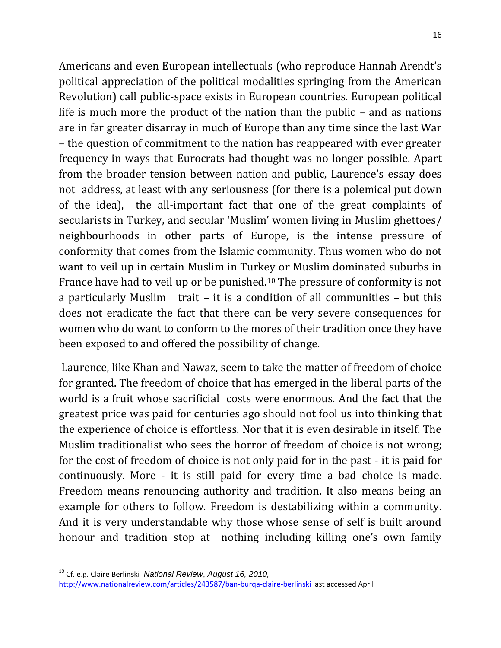Americans and even European intellectuals (who reproduce Hannah Arendt's political appreciation of the political modalities springing from the American Revolution) call public-space exists in European countries. European political life is much more the product of the nation than the public – and as nations are in far greater disarray in much of Europe than any time since the last War – the question of commitment to the nation has reappeared with ever greater frequency in ways that Eurocrats had thought was no longer possible. Apart from the broader tension between nation and public, Laurence's essay does not address, at least with any seriousness (for there is a polemical put down of the idea), the all-important fact that one of the great complaints of secularists in Turkey, and secular 'Muslim' women living in Muslim ghettoes/ neighbourhoods in other parts of Europe, is the intense pressure of conformity that comes from the Islamic community. Thus women who do not want to veil up in certain Muslim in Turkey or Muslim dominated suburbs in France have had to veil up or be punished.<sup>10</sup> The pressure of conformity is not a particularly Muslim trait – it is a condition of all communities – but this does not eradicate the fact that there can be very severe consequences for women who do want to conform to the mores of their tradition once they have been exposed to and offered the possibility of change.

Laurence, like Khan and Nawaz, seem to take the matter of freedom of choice for granted. The freedom of choice that has emerged in the liberal parts of the world is a fruit whose sacrificial costs were enormous. And the fact that the greatest price was paid for centuries ago should not fool us into thinking that the experience of choice is effortless. Nor that it is even desirable in itself. The Muslim traditionalist who sees the horror of freedom of choice is not wrong; for the cost of freedom of choice is not only paid for in the past - it is paid for continuously. More - it is still paid for every time a bad choice is made. Freedom means renouncing authority and tradition. It also means being an example for others to follow. Freedom is destabilizing within a community. And it is very understandable why those whose sense of self is built around honour and tradition stop at nothing including killing one's own family

l

<sup>10</sup> Cf. e.g. Claire Berlinski *National Review*, *August 16, 2010,*  <http://www.nationalreview.com/articles/243587/ban-burqa-claire-berlinski> last accessed April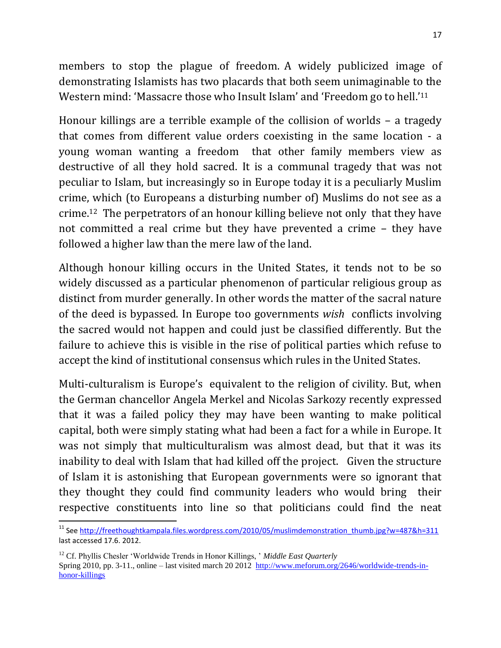members to stop the plague of freedom. A widely publicized image of demonstrating Islamists has two placards that both seem unimaginable to the Western mind: 'Massacre those who Insult Islam' and 'Freedom go to hell.'<sup>11</sup>

Honour killings are a terrible example of the collision of worlds – a tragedy that comes from different value orders coexisting in the same location - a young woman wanting a freedom that other family members view as destructive of all they hold sacred. It is a communal tragedy that was not peculiar to Islam, but increasingly so in Europe today it is a peculiarly Muslim crime, which (to Europeans a disturbing number of) Muslims do not see as a crime. <sup>12</sup> The perpetrators of an honour killing believe not only that they have not committed a real crime but they have prevented a crime – they have followed a higher law than the mere law of the land.

Although honour killing occurs in the United States, it tends not to be so widely discussed as a particular phenomenon of particular religious group as distinct from murder generally. In other words the matter of the sacral nature of the deed is bypassed. In Europe too governments *wish* conflicts involving the sacred would not happen and could just be classified differently. But the failure to achieve this is visible in the rise of political parties which refuse to accept the kind of institutional consensus which rules in the United States.

Multi-culturalism is Europe's equivalent to the religion of civility. But, when the German chancellor Angela Merkel and Nicolas Sarkozy recently expressed that it was a failed policy they may have been wanting to make political capital, both were simply stating what had been a fact for a while in Europe. It was not simply that multiculturalism was almost dead, but that it was its inability to deal with Islam that had killed off the project. Given the structure of Islam it is astonishing that European governments were so ignorant that they thought they could find community leaders who would bring their respective constituents into line so that politicians could find the neat

 $\overline{\phantom{a}}$ 

<sup>&</sup>lt;sup>11</sup> Se[e http://freethoughtkampala.files.wordpress.com/2010/05/muslimdemonstration\\_thumb.jpg?w=487&h=311](http://freethoughtkampala.files.wordpress.com/2010/05/muslimdemonstration_thumb.jpg?w=487&h=311) last accessed 17.6. 2012.

<sup>&</sup>lt;sup>12</sup> Cf. Phyllis Chesler 'Worldwide Trends in Honor Killings, ' Middle East Quarterly

Spring 2010, pp. 3-11., online – last visited march 20 2012 [http://www.meforum.org/2646/worldwide-trends-in](http://www.meforum.org/2646/worldwide-trends-in-honor-killings)[honor-killings](http://www.meforum.org/2646/worldwide-trends-in-honor-killings)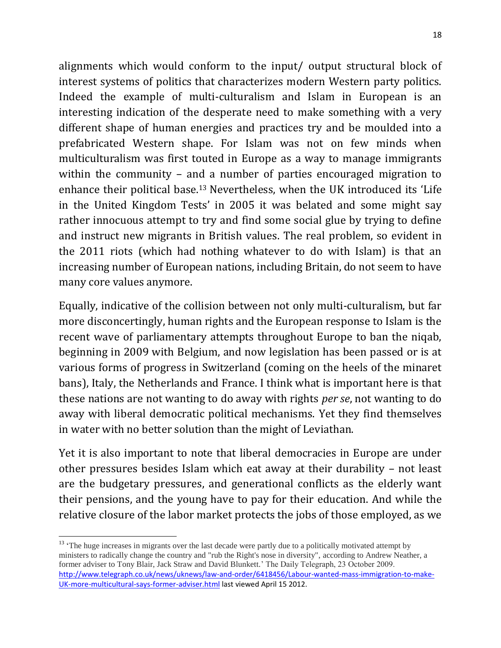alignments which would conform to the input/ output structural block of interest systems of politics that characterizes modern Western party politics. Indeed the example of multi-culturalism and Islam in European is an interesting indication of the desperate need to make something with a very different shape of human energies and practices try and be moulded into a prefabricated Western shape. For Islam was not on few minds when multiculturalism was first touted in Europe as a way to manage immigrants within the community – and a number of parties encouraged migration to enhance their political base.<sup>13</sup> Nevertheless, when the UK introduced its 'Life in the United Kingdom Tests' in 2005 it was belated and some might say rather innocuous attempt to try and find some social glue by trying to define and instruct new migrants in British values. The real problem, so evident in the 2011 riots (which had nothing whatever to do with Islam) is that an increasing number of European nations, including Britain, do not seem to have many core values anymore.

Equally, indicative of the collision between not only multi-culturalism, but far more disconcertingly, human rights and the European response to Islam is the recent wave of parliamentary attempts throughout Europe to ban the niqab, beginning in 2009 with Belgium, and now legislation has been passed or is at various forms of progress in Switzerland (coming on the heels of the minaret bans), Italy, the Netherlands and France. I think what is important here is that these nations are not wanting to do away with rights *per se*, not wanting to do away with liberal democratic political mechanisms. Yet they find themselves in water with no better solution than the might of Leviathan.

Yet it is also important to note that liberal democracies in Europe are under other pressures besides Islam which eat away at their durability – not least are the budgetary pressures, and generational conflicts as the elderly want their pensions, and the young have to pay for their education. And while the relative closure of the labor market protects the jobs of those employed, as we

 $\overline{a}$ 

<sup>&</sup>lt;sup>13</sup> 'The huge increases in migrants over the last decade were partly due to a politically motivated attempt by ministers to radically change the country and "rub the Right's nose in diversity", according to Andrew Neather, a former adviser to Tony Blair, Jack Straw and David Blunkett.' The Daily Telegraph, 23 October 2009. [http://www.telegraph.co.uk/news/uknews/law-and-order/6418456/Labour-wanted-mass-immigration-to-make-](http://www.telegraph.co.uk/news/uknews/law-and-order/6418456/Labour-wanted-mass-immigration-to-make-UK-more-multicultural-says-former-adviser.html)[UK-more-multicultural-says-former-adviser.html](http://www.telegraph.co.uk/news/uknews/law-and-order/6418456/Labour-wanted-mass-immigration-to-make-UK-more-multicultural-says-former-adviser.html) last viewed April 15 2012.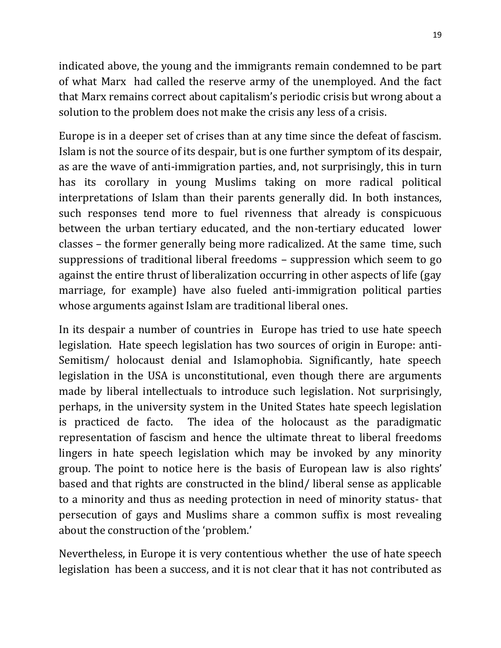indicated above, the young and the immigrants remain condemned to be part of what Marx had called the reserve army of the unemployed. And the fact that Marx remains correct about capitalism's periodic crisis but wrong about a solution to the problem does not make the crisis any less of a crisis.

Europe is in a deeper set of crises than at any time since the defeat of fascism. Islam is not the source of its despair, but is one further symptom of its despair, as are the wave of anti-immigration parties, and, not surprisingly, this in turn has its corollary in young Muslims taking on more radical political interpretations of Islam than their parents generally did. In both instances, such responses tend more to fuel rivenness that already is conspicuous between the urban tertiary educated, and the non-tertiary educated lower classes – the former generally being more radicalized. At the same time, such suppressions of traditional liberal freedoms – suppression which seem to go against the entire thrust of liberalization occurring in other aspects of life (gay marriage, for example) have also fueled anti-immigration political parties whose arguments against Islam are traditional liberal ones.

In its despair a number of countries in Europe has tried to use hate speech legislation. Hate speech legislation has two sources of origin in Europe: anti-Semitism/ holocaust denial and Islamophobia. Significantly, hate speech legislation in the USA is unconstitutional, even though there are arguments made by liberal intellectuals to introduce such legislation. Not surprisingly, perhaps, in the university system in the United States hate speech legislation is practiced de facto. The idea of the holocaust as the paradigmatic representation of fascism and hence the ultimate threat to liberal freedoms lingers in hate speech legislation which may be invoked by any minority group. The point to notice here is the basis of European law is also rights' based and that rights are constructed in the blind/ liberal sense as applicable to a minority and thus as needing protection in need of minority status- that persecution of gays and Muslims share a common suffix is most revealing about the construction of the 'problem.'

Nevertheless, in Europe it is very contentious whether the use of hate speech legislation has been a success, and it is not clear that it has not contributed as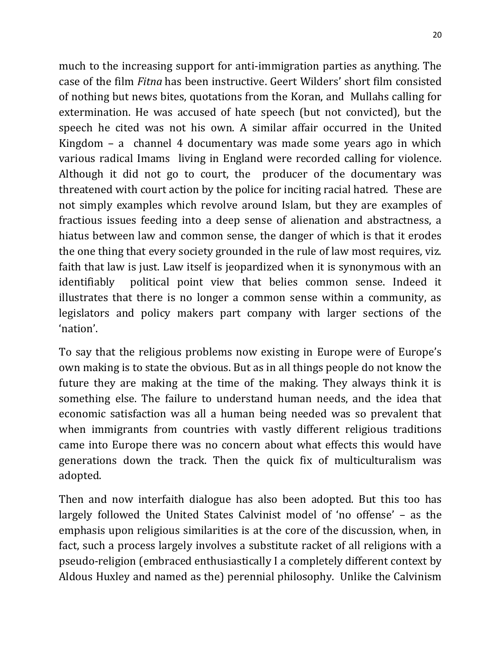much to the increasing support for anti-immigration parties as anything. The case of the film *Fitna* has been instructive. Geert Wilders' short film consisted of nothing but news bites, quotations from the Koran, and Mullahs calling for extermination. He was accused of hate speech (but not convicted), but the speech he cited was not his own. A similar affair occurred in the United Kingdom – a channel 4 documentary was made some years ago in which various radical Imams living in England were recorded calling for violence. Although it did not go to court, the producer of the documentary was threatened with court action by the police for inciting racial hatred. These are not simply examples which revolve around Islam, but they are examples of fractious issues feeding into a deep sense of alienation and abstractness, a hiatus between law and common sense, the danger of which is that it erodes the one thing that every society grounded in the rule of law most requires, viz. faith that law is just. Law itself is jeopardized when it is synonymous with an identifiably political point view that belies common sense. Indeed it illustrates that there is no longer a common sense within a community, as legislators and policy makers part company with larger sections of the 'nation'.

To say that the religious problems now existing in Europe were of Europe's own making is to state the obvious. But as in all things people do not know the future they are making at the time of the making. They always think it is something else. The failure to understand human needs, and the idea that economic satisfaction was all a human being needed was so prevalent that when immigrants from countries with vastly different religious traditions came into Europe there was no concern about what effects this would have generations down the track. Then the quick fix of multiculturalism was adopted.

Then and now interfaith dialogue has also been adopted. But this too has largely followed the United States Calvinist model of 'no offense' – as the emphasis upon religious similarities is at the core of the discussion, when, in fact, such a process largely involves a substitute racket of all religions with a pseudo-religion (embraced enthusiastically I a completely different context by Aldous Huxley and named as the) perennial philosophy. Unlike the Calvinism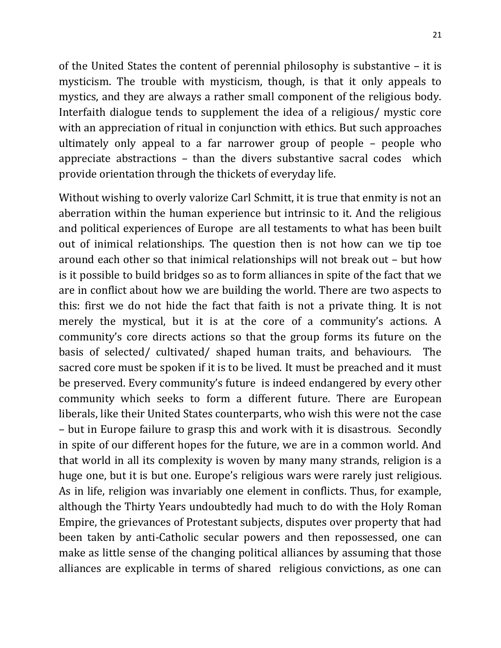of the United States the content of perennial philosophy is substantive – it is mysticism. The trouble with mysticism, though, is that it only appeals to mystics, and they are always a rather small component of the religious body. Interfaith dialogue tends to supplement the idea of a religious/ mystic core with an appreciation of ritual in conjunction with ethics. But such approaches ultimately only appeal to a far narrower group of people – people who appreciate abstractions – than the divers substantive sacral codes which provide orientation through the thickets of everyday life.

Without wishing to overly valorize Carl Schmitt, it is true that enmity is not an aberration within the human experience but intrinsic to it. And the religious and political experiences of Europe are all testaments to what has been built out of inimical relationships. The question then is not how can we tip toe around each other so that inimical relationships will not break out – but how is it possible to build bridges so as to form alliances in spite of the fact that we are in conflict about how we are building the world. There are two aspects to this: first we do not hide the fact that faith is not a private thing. It is not merely the mystical, but it is at the core of a community's actions. A community's core directs actions so that the group forms its future on the basis of selected/ cultivated/ shaped human traits, and behaviours. The sacred core must be spoken if it is to be lived. It must be preached and it must be preserved. Every community's future is indeed endangered by every other community which seeks to form a different future. There are European liberals, like their United States counterparts, who wish this were not the case – but in Europe failure to grasp this and work with it is disastrous. Secondly in spite of our different hopes for the future, we are in a common world. And that world in all its complexity is woven by many many strands, religion is a huge one, but it is but one. Europe's religious wars were rarely just religious. As in life, religion was invariably one element in conflicts. Thus, for example, although the Thirty Years undoubtedly had much to do with the Holy Roman Empire, the grievances of Protestant subjects, disputes over property that had been taken by anti-Catholic secular powers and then repossessed, one can make as little sense of the changing political alliances by assuming that those alliances are explicable in terms of shared religious convictions, as one can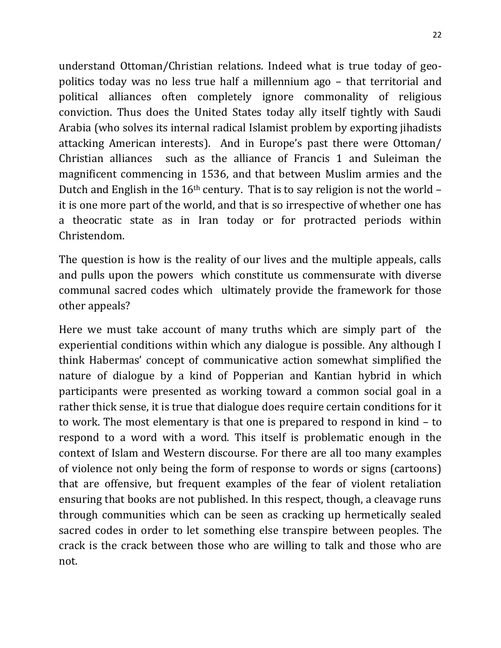understand Ottoman/Christian relations. Indeed what is true today of geopolitics today was no less true half a millennium ago – that territorial and political alliances often completely ignore commonality of religious conviction. Thus does the United States today ally itself tightly with Saudi Arabia (who solves its internal radical Islamist problem by exporting jihadists attacking American interests). And in Europe's past there were Ottoman/ Christian alliances such as the alliance of Francis 1 and Suleiman the magnificent commencing in 1536, and that between Muslim armies and the Dutch and English in the 16th century. That is to say religion is not the world – it is one more part of the world, and that is so irrespective of whether one has a theocratic state as in Iran today or for protracted periods within Christendom.

The question is how is the reality of our lives and the multiple appeals, calls and pulls upon the powers which constitute us commensurate with diverse communal sacred codes which ultimately provide the framework for those other appeals?

Here we must take account of many truths which are simply part of the experiential conditions within which any dialogue is possible. Any although I think Habermas' concept of communicative action somewhat simplified the nature of dialogue by a kind of Popperian and Kantian hybrid in which participants were presented as working toward a common social goal in a rather thick sense, it is true that dialogue does require certain conditions for it to work. The most elementary is that one is prepared to respond in kind – to respond to a word with a word. This itself is problematic enough in the context of Islam and Western discourse. For there are all too many examples of violence not only being the form of response to words or signs (cartoons) that are offensive, but frequent examples of the fear of violent retaliation ensuring that books are not published. In this respect, though, a cleavage runs through communities which can be seen as cracking up hermetically sealed sacred codes in order to let something else transpire between peoples. The crack is the crack between those who are willing to talk and those who are not.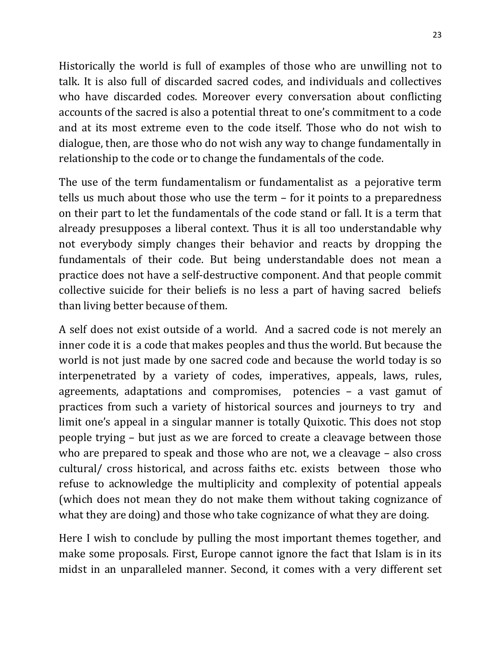Historically the world is full of examples of those who are unwilling not to talk. It is also full of discarded sacred codes, and individuals and collectives who have discarded codes. Moreover every conversation about conflicting accounts of the sacred is also a potential threat to one's commitment to a code and at its most extreme even to the code itself. Those who do not wish to dialogue, then, are those who do not wish any way to change fundamentally in relationship to the code or to change the fundamentals of the code.

The use of the term fundamentalism or fundamentalist as a pejorative term tells us much about those who use the term – for it points to a preparedness on their part to let the fundamentals of the code stand or fall. It is a term that already presupposes a liberal context. Thus it is all too understandable why not everybody simply changes their behavior and reacts by dropping the fundamentals of their code. But being understandable does not mean a practice does not have a self-destructive component. And that people commit collective suicide for their beliefs is no less a part of having sacred beliefs than living better because of them.

A self does not exist outside of a world. And a sacred code is not merely an inner code it is a code that makes peoples and thus the world. But because the world is not just made by one sacred code and because the world today is so interpenetrated by a variety of codes, imperatives, appeals, laws, rules, agreements, adaptations and compromises, potencies – a vast gamut of practices from such a variety of historical sources and journeys to try and limit one's appeal in a singular manner is totally Quixotic. This does not stop people trying – but just as we are forced to create a cleavage between those who are prepared to speak and those who are not, we a cleavage – also cross cultural/ cross historical, and across faiths etc. exists between those who refuse to acknowledge the multiplicity and complexity of potential appeals (which does not mean they do not make them without taking cognizance of what they are doing) and those who take cognizance of what they are doing.

Here I wish to conclude by pulling the most important themes together, and make some proposals. First, Europe cannot ignore the fact that Islam is in its midst in an unparalleled manner. Second, it comes with a very different set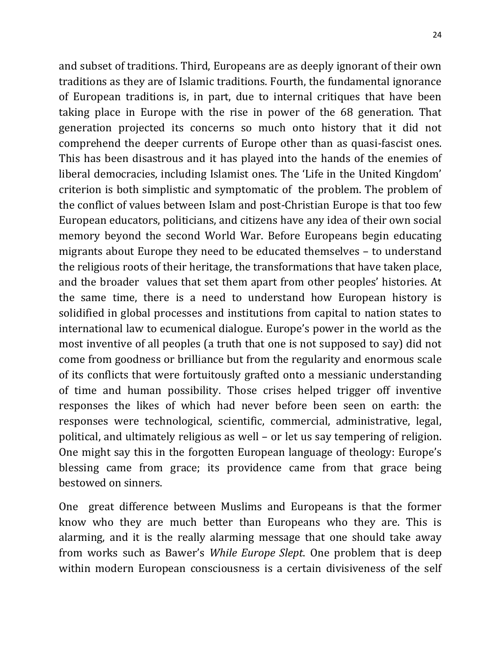and subset of traditions. Third, Europeans are as deeply ignorant of their own traditions as they are of Islamic traditions. Fourth, the fundamental ignorance of European traditions is, in part, due to internal critiques that have been taking place in Europe with the rise in power of the 68 generation. That generation projected its concerns so much onto history that it did not comprehend the deeper currents of Europe other than as quasi-fascist ones. This has been disastrous and it has played into the hands of the enemies of liberal democracies, including Islamist ones. The 'Life in the United Kingdom' criterion is both simplistic and symptomatic of the problem. The problem of the conflict of values between Islam and post-Christian Europe is that too few European educators, politicians, and citizens have any idea of their own social memory beyond the second World War. Before Europeans begin educating migrants about Europe they need to be educated themselves – to understand the religious roots of their heritage, the transformations that have taken place, and the broader values that set them apart from other peoples' histories. At the same time, there is a need to understand how European history is solidified in global processes and institutions from capital to nation states to international law to ecumenical dialogue. Europe's power in the world as the most inventive of all peoples (a truth that one is not supposed to say) did not come from goodness or brilliance but from the regularity and enormous scale of its conflicts that were fortuitously grafted onto a messianic understanding of time and human possibility. Those crises helped trigger off inventive responses the likes of which had never before been seen on earth: the responses were technological, scientific, commercial, administrative, legal, political, and ultimately religious as well – or let us say tempering of religion. One might say this in the forgotten European language of theology: Europe's blessing came from grace; its providence came from that grace being bestowed on sinners.

One great difference between Muslims and Europeans is that the former know who they are much better than Europeans who they are. This is alarming, and it is the really alarming message that one should take away from works such as Bawer's *While Europe Slept*. One problem that is deep within modern European consciousness is a certain divisiveness of the self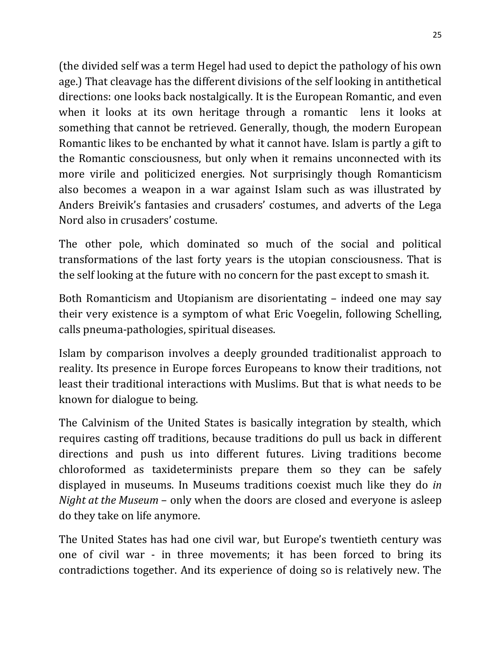(the divided self was a term Hegel had used to depict the pathology of his own age.) That cleavage has the different divisions of the self looking in antithetical directions: one looks back nostalgically. It is the European Romantic, and even when it looks at its own heritage through a romantic lens it looks at something that cannot be retrieved. Generally, though, the modern European Romantic likes to be enchanted by what it cannot have. Islam is partly a gift to the Romantic consciousness, but only when it remains unconnected with its more virile and politicized energies. Not surprisingly though Romanticism also becomes a weapon in a war against Islam such as was illustrated by Anders Breivik's fantasies and crusaders' costumes, and adverts of the Lega Nord also in crusaders' costume.

The other pole, which dominated so much of the social and political transformations of the last forty years is the utopian consciousness. That is the self looking at the future with no concern for the past except to smash it.

Both Romanticism and Utopianism are disorientating – indeed one may say their very existence is a symptom of what Eric Voegelin, following Schelling, calls pneuma-pathologies, spiritual diseases.

Islam by comparison involves a deeply grounded traditionalist approach to reality. Its presence in Europe forces Europeans to know their traditions, not least their traditional interactions with Muslims. But that is what needs to be known for dialogue to being.

The Calvinism of the United States is basically integration by stealth, which requires casting off traditions, because traditions do pull us back in different directions and push us into different futures. Living traditions become chloroformed as taxideterminists prepare them so they can be safely displayed in museums. In Museums traditions coexist much like they do *in Night at the Museum* – only when the doors are closed and everyone is asleep do they take on life anymore.

The United States has had one civil war, but Europe's twentieth century was one of civil war - in three movements; it has been forced to bring its contradictions together. And its experience of doing so is relatively new. The